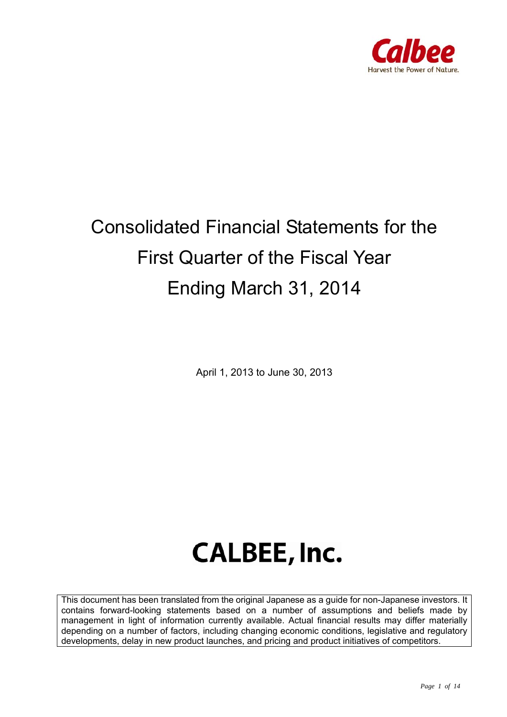

## Consolidated Financial Statements for the First Quarter of the Fiscal Year Ending March 31, 2014

April 1, 2013 to June 30, 2013

# **CALBEE, Inc.**

This document has been translated from the original Japanese as a guide for non-Japanese investors. It contains forward-looking statements based on a number of assumptions and beliefs made by management in light of information currently available. Actual financial results may differ materially depending on a number of factors, including changing economic conditions, legislative and regulatory developments, delay in new product launches, and pricing and product initiatives of competitors.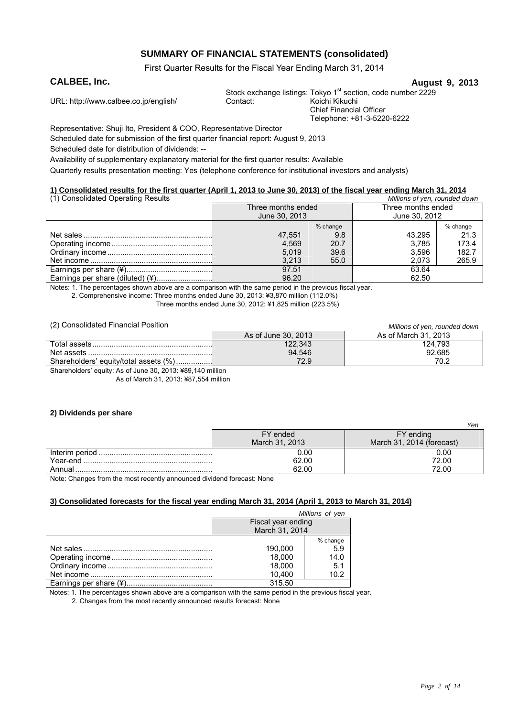### **SUMMARY OF FINANCIAL STATEMENTS (consolidated)**

First Quarter Results for the Fiscal Year Ending March 31, 2014

#### **CALBEE, Inc. CALBEE, Inc. August 9, 2013**

URL: http://www.calbee.co.jp/english/ Contact:

Stock exchange listings: Tokyo 1<sup>st</sup> section, code number 2229<br>Contact: Koichi Kikuchi

Chief Financial Officer

Telephone: +81-3-5220-6222

Representative: Shuji Ito, President & COO, Representative Director

Scheduled date for submission of the first quarter financial report: August 9, 2013

Scheduled date for distribution of dividends: --

Availability of supplementary explanatory material for the first quarter results: Available

Quarterly results presentation meeting: Yes (telephone conference for institutional investors and analysts)

#### **1) Consolidated results for the first quarter (April 1, 2013 to June 30, 2013) of the fiscal year ending March 31, 2014**

| (1) Consolidated Operating Results |                    |          | Millions of yen, rounded down |          |
|------------------------------------|--------------------|----------|-------------------------------|----------|
|                                    | Three months ended |          | Three months ended            |          |
|                                    | June 30, 2013      |          | June 30, 2012                 |          |
|                                    |                    | % change |                               | % change |
|                                    | 47.551             | 9.8      | 43.295                        | 21.3     |
|                                    | 4.569              | 20.7     | 3.785                         | 173.4    |
|                                    | 5.019              | 39.6     | 3,596                         | 182.7    |
|                                    | 3.213              | 55.0     | 2.073                         | 265.9    |
|                                    | 97.51              |          | 63.64                         |          |
| Earnings per share (diluted) (¥)   | 96.20              |          | 62.50                         |          |

Notes: 1. The percentages shown above are a comparison with the same period in the previous fiscal year.

2. Comprehensive income: Three months ended June 30, 2013: ¥3,870 million (112.0%)

Three months ended June 30, 2012: ¥1,825 million (223.5%)

(2) Consolidated Financial Position *Millions of yen, rounded down*

| $\frac{1}{2}$ . Sonoonaatoo : manoian : ookion             | <u>IVIIIIUITS OF VEH. TOUHUEU UOWH</u> |                      |  |
|------------------------------------------------------------|----------------------------------------|----------------------|--|
|                                                            | As of June 30, 2013                    | As of March 31, 2013 |  |
|                                                            | 122.343                                | 124.793              |  |
|                                                            | 94,546                                 | 92.685               |  |
| Shareholders' equity/total assets (%)                      | 72.9                                   | 70.2                 |  |
| Shareholders' equity: As of June 30, 2013: ¥89,140 million |                                        |                      |  |

As of March 31, 2013: ¥87,554 million

#### **2) Dividends per share**

|          |                | ren                       |
|----------|----------------|---------------------------|
|          | FY ended       | FY ending                 |
|          | March 31, 2013 | March 31, 2014 (forecast) |
|          | 0.00           | 0.00                      |
| Year-end | 62.00          | 72.00                     |
| Annual   | 62.00          | 72.00                     |

Note: Changes from the most recently announced dividend forecast: None

#### **3) Consolidated forecasts for the fiscal year ending March 31, 2014 (April 1, 2013 to March 31, 2014)**

| Millions of yen    |      |  |
|--------------------|------|--|
| Fiscal year ending |      |  |
| March 31, 2014     |      |  |
| % change           |      |  |
| 190.000            | 5.9  |  |
| 18.000             | 14.0 |  |
| 18.000             | 5.1  |  |
| 10.400             | 10.2 |  |
| 315.50             |      |  |

Notes: 1. The percentages shown above are a comparison with the same period in the previous fiscal year.

2. Changes from the most recently announced results forecast: None

*Yen*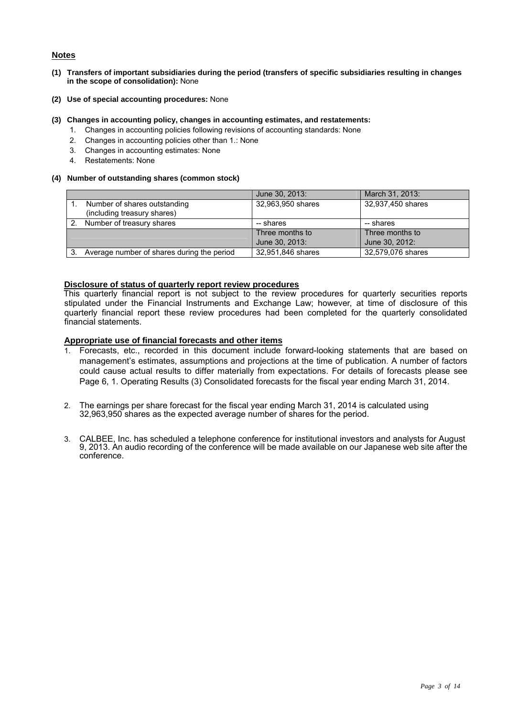#### **Notes**

- **(1) Transfers of important subsidiaries during the period (transfers of specific subsidiaries resulting in changes in the scope of consolidation):** None
- **(2) Use of special accounting procedures:** None

#### **(3) Changes in accounting policy, changes in accounting estimates, and restatements:**

- 1. Changes in accounting policies following revisions of accounting standards: None
	- 2. Changes in accounting policies other than 1.: None
	- 3. Changes in accounting estimates: None
	- 4. Restatements: None

#### **(4) Number of outstanding shares (common stock)**

|                                            | June 30, 2013:    | March 31, 2013:   |
|--------------------------------------------|-------------------|-------------------|
| Number of shares outstanding               | 32,963,950 shares | 32,937,450 shares |
| (including treasury shares)                |                   |                   |
| Number of treasury shares                  | -- shares         | -- shares         |
|                                            | Three months to   | Three months to   |
|                                            | June 30, 2013:    | June 30, 2012:    |
| Average number of shares during the period | 32,951,846 shares | 32,579,076 shares |

#### **Disclosure of status of quarterly report review procedures**

This quarterly financial report is not subject to the review procedures for quarterly securities reports stipulated under the Financial Instruments and Exchange Law; however, at time of disclosure of this quarterly financial report these review procedures had been completed for the quarterly consolidated financial statements.

#### **Appropriate use of financial forecasts and other items**

- 1. Forecasts, etc., recorded in this document include forward-looking statements that are based on management's estimates, assumptions and projections at the time of publication. A number of factors could cause actual results to differ materially from expectations. For details of forecasts please see Page 6, 1. Operating Results (3) Consolidated forecasts for the fiscal year ending March 31, 2014.
- 2. The earnings per share forecast for the fiscal year ending March 31, 2014 is calculated using 32,963,950 shares as the expected average number of shares for the period.
- 3. CALBEE, Inc. has scheduled a telephone conference for institutional investors and analysts for August 9, 2013. An audio recording of the conference will be made available on our Japanese web site after the conference.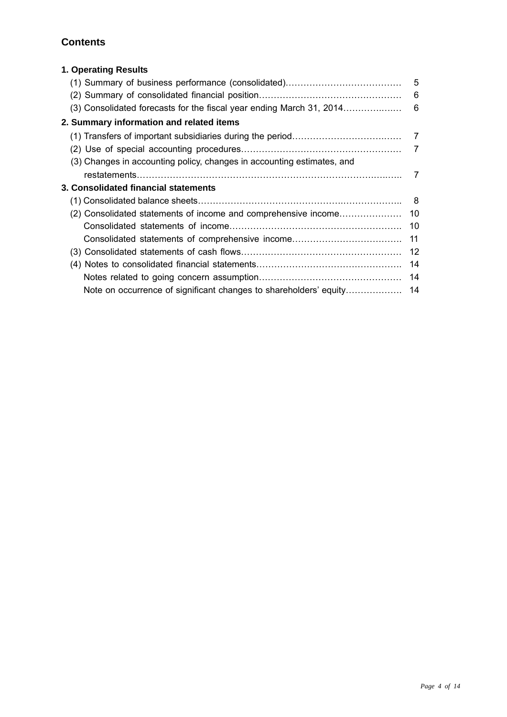## **Contents**

| 1. Operating Results                                                   |     |
|------------------------------------------------------------------------|-----|
|                                                                        |     |
|                                                                        | 6   |
|                                                                        |     |
| 2. Summary information and related items                               |     |
|                                                                        |     |
|                                                                        |     |
| (3) Changes in accounting policy, changes in accounting estimates, and |     |
|                                                                        |     |
| 3. Consolidated financial statements                                   |     |
|                                                                        | - 8 |
|                                                                        |     |
|                                                                        |     |
| Consolidated statements of comprehensive income                        | 11  |
|                                                                        |     |
|                                                                        | 14  |
|                                                                        |     |
|                                                                        |     |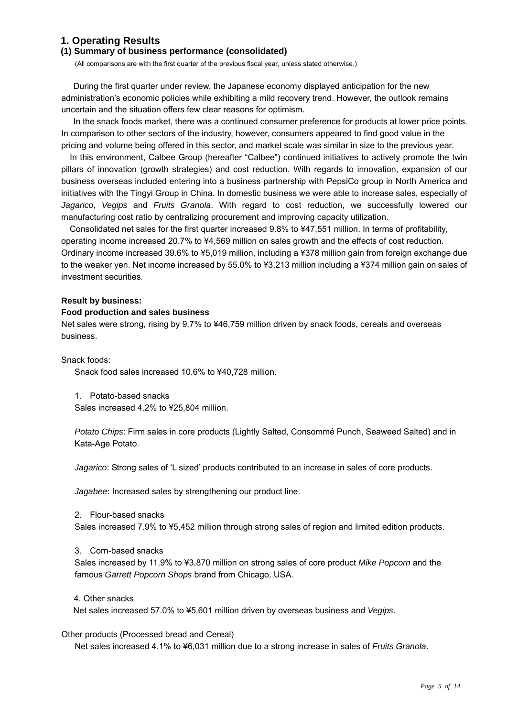### **1. Operating Results**

#### **(1) Summary of business performance (consolidated)**

(All comparisons are with the first quarter of the previous fiscal year, unless stated otherwise.)

During the first quarter under review, the Japanese economy displayed anticipation for the new administration's economic policies while exhibiting a mild recovery trend. However, the outlook remains uncertain and the situation offers few clear reasons for optimism.

In the snack foods market, there was a continued consumer preference for products at lower price points. In comparison to other sectors of the industry, however, consumers appeared to find good value in the pricing and volume being offered in this sector, and market scale was similar in size to the previous year.

In this environment, Calbee Group (hereafter "Calbee") continued initiatives to actively promote the twin pillars of innovation (growth strategies) and cost reduction. With regards to innovation, expansion of our business overseas included entering into a business partnership with PepsiCo group in North America and initiatives with the Tingyi Group in China. In domestic business we were able to increase sales, especially of *Jagarico*, *Vegips* and *Fruits Granola*. With regard to cost reduction, we successfully lowered our manufacturing cost ratio by centralizing procurement and improving capacity utilization.

Consolidated net sales for the first quarter increased 9.8% to ¥47,551 million. In terms of profitability, operating income increased 20.7% to ¥4,569 million on sales growth and the effects of cost reduction. Ordinary income increased 39.6% to ¥5,019 million, including a ¥378 million gain from foreign exchange due to the weaker yen. Net income increased by 55.0% to ¥3,213 million including a ¥374 million gain on sales of investment securities.

#### **Result by business:**

#### **Food production and sales business**

Net sales were strong, rising by 9.7% to ¥46,759 million driven by snack foods, cereals and overseas business.

Snack foods:

Snack food sales increased 10.6% to ¥40,728 million.

1. Potato-based snacks

Sales increased 4.2% to ¥25,804 million.

*Potato Chips*: Firm sales in core products (Lightly Salted, Consommé Punch, Seaweed Salted) and in Kata-Age Potato.

*Jagarico*: Strong sales of 'L sized' products contributed to an increase in sales of core products.

*Jagabee*: Increased sales by strengthening our product line.

2. Flour-based snacks

Sales increased 7.9% to ¥5,452 million through strong sales of region and limited edition products.

3. Corn-based snacks

Sales increased by 11.9% to ¥3,870 million on strong sales of core product *Mike Popcorn* and the famous *Garrett Popcorn Shops* brand from Chicago, USA.

#### 4. Other snacks

Net sales increased 57.0% to ¥5,601 million driven by overseas business and *Vegips*.

#### Other products (Processed bread and Cereal)

Net sales increased 4.1% to ¥6,031 million due to a strong increase in sales of *Fruits Granola*.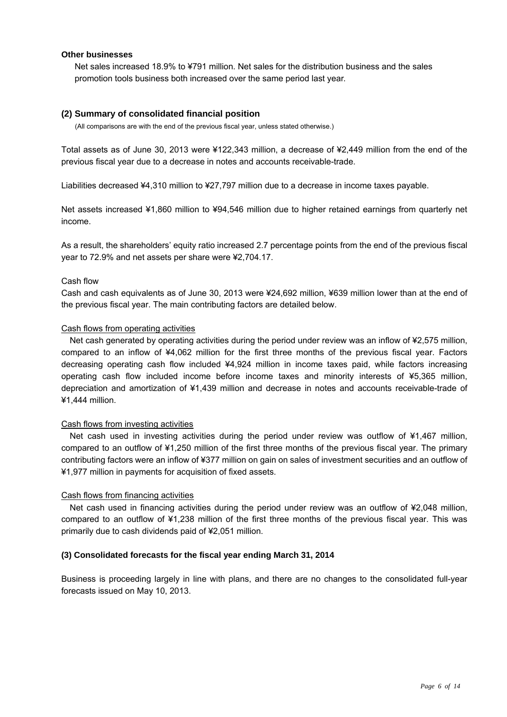#### **Other businesses**

Net sales increased 18.9% to ¥791 million. Net sales for the distribution business and the sales promotion tools business both increased over the same period last year.

#### **(2) Summary of consolidated financial position**

(All comparisons are with the end of the previous fiscal year, unless stated otherwise.)

Total assets as of June 30, 2013 were ¥122,343 million, a decrease of ¥2,449 million from the end of the previous fiscal year due to a decrease in notes and accounts receivable-trade.

Liabilities decreased ¥4,310 million to ¥27,797 million due to a decrease in income taxes payable.

Net assets increased ¥1,860 million to ¥94,546 million due to higher retained earnings from quarterly net income.

As a result, the shareholders' equity ratio increased 2.7 percentage points from the end of the previous fiscal year to 72.9% and net assets per share were ¥2,704.17.

#### Cash flow

Cash and cash equivalents as of June 30, 2013 were ¥24,692 million, ¥639 million lower than at the end of the previous fiscal year. The main contributing factors are detailed below.

#### Cash flows from operating activities

Net cash generated by operating activities during the period under review was an inflow of ¥2,575 million, compared to an inflow of ¥4,062 million for the first three months of the previous fiscal year. Factors decreasing operating cash flow included ¥4,924 million in income taxes paid, while factors increasing operating cash flow included income before income taxes and minority interests of ¥5,365 million, depreciation and amortization of ¥1,439 million and decrease in notes and accounts receivable-trade of ¥1,444 million.

#### Cash flows from investing activities

Net cash used in investing activities during the period under review was outflow of ¥1,467 million, compared to an outflow of ¥1,250 million of the first three months of the previous fiscal year. The primary contributing factors were an inflow of ¥377 million on gain on sales of investment securities and an outflow of ¥1,977 million in payments for acquisition of fixed assets.

#### Cash flows from financing activities

Net cash used in financing activities during the period under review was an outflow of ¥2,048 million, compared to an outflow of ¥1,238 million of the first three months of the previous fiscal year. This was primarily due to cash dividends paid of ¥2,051 million.

#### **(3) Consolidated forecasts for the fiscal year ending March 31, 2014**

Business is proceeding largely in line with plans, and there are no changes to the consolidated full-year forecasts issued on May 10, 2013.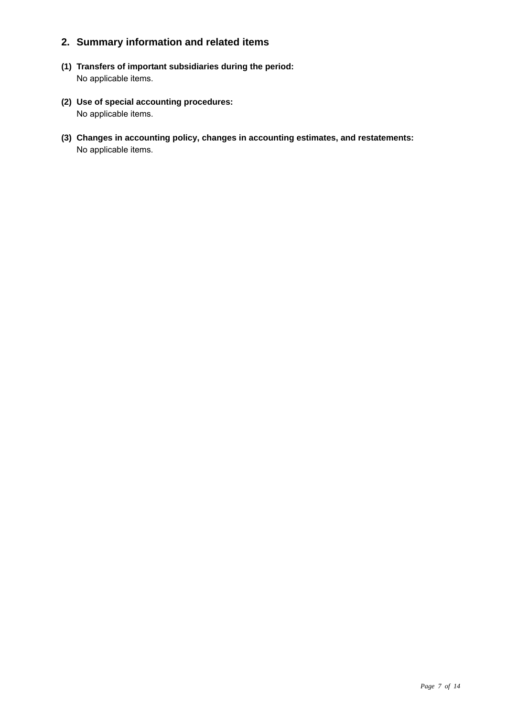## **2. Summary information and related items**

- **(1) Transfers of important subsidiaries during the period:**  No applicable items.
- **(2) Use of special accounting procedures:**  No applicable items.
- **(3) Changes in accounting policy, changes in accounting estimates, and restatements:**  No applicable items.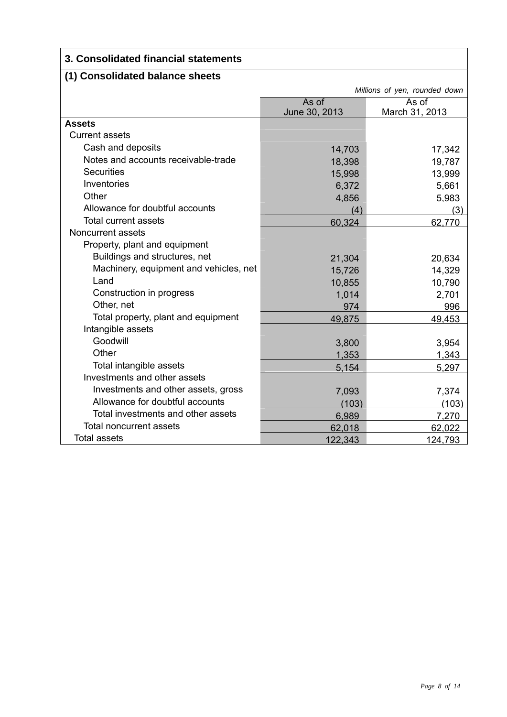## **3. Consolidated financial statements**

## **(1) Consolidated balance sheets**

|                                        | Millions of yen, rounded down |                |
|----------------------------------------|-------------------------------|----------------|
|                                        | As of<br>As of                |                |
|                                        | June 30, 2013                 | March 31, 2013 |
| <b>Assets</b>                          |                               |                |
| <b>Current assets</b>                  |                               |                |
| Cash and deposits                      | 14,703                        | 17,342         |
| Notes and accounts receivable-trade    | 18,398                        | 19,787         |
| <b>Securities</b>                      | 15,998                        | 13,999         |
| Inventories                            | 6,372                         | 5,661          |
| Other                                  | 4,856                         | 5,983          |
| Allowance for doubtful accounts        | (4)                           | (3)            |
| <b>Total current assets</b>            | 60,324                        | 62,770         |
| Noncurrent assets                      |                               |                |
| Property, plant and equipment          |                               |                |
| Buildings and structures, net          | 21,304                        | 20,634         |
| Machinery, equipment and vehicles, net | 15,726                        | 14,329         |
| Land                                   | 10,855                        | 10,790         |
| Construction in progress               | 1,014                         | 2,701          |
| Other, net                             | 974                           | 996            |
| Total property, plant and equipment    | 49,875                        | 49,453         |
| Intangible assets                      |                               |                |
| Goodwill                               | 3,800                         | 3.954          |
| Other                                  | 1,353                         | 1,343          |
| Total intangible assets                | 5,154                         | 5,297          |
| Investments and other assets           |                               |                |
| Investments and other assets, gross    | 7,093                         | 7,374          |
| Allowance for doubtful accounts        | (103)                         | (103)          |
| Total investments and other assets     | 6,989                         | 7,270          |
| <b>Total noncurrent assets</b>         | 62,018                        | 62,022         |
| <b>Total assets</b>                    | 122,343                       | 124,793        |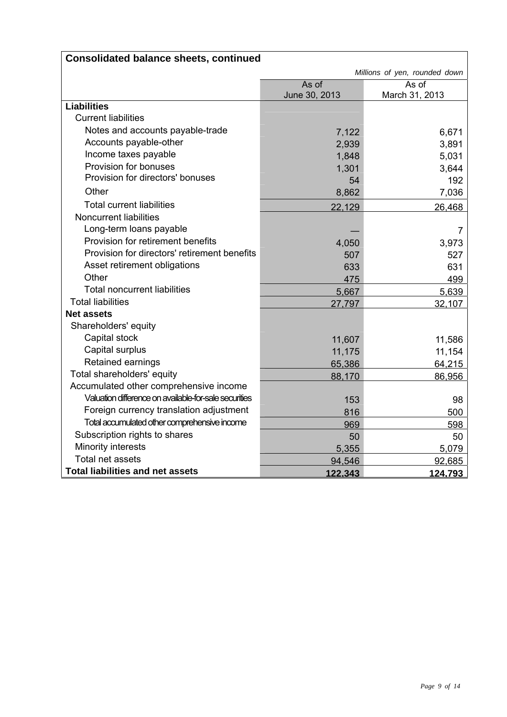|                                                       | Millions of yen, rounded down |                |  |
|-------------------------------------------------------|-------------------------------|----------------|--|
|                                                       | As of<br>As of                |                |  |
|                                                       | June 30, 2013                 | March 31, 2013 |  |
| <b>Liabilities</b>                                    |                               |                |  |
| <b>Current liabilities</b>                            |                               |                |  |
| Notes and accounts payable-trade                      | 7,122                         | 6,671          |  |
| Accounts payable-other                                | 2,939                         | 3,891          |  |
| Income taxes payable                                  | 1,848                         | 5,031          |  |
| Provision for bonuses                                 | 1,301                         | 3,644          |  |
| Provision for directors' bonuses                      | 54                            | 192            |  |
| Other                                                 | 8,862                         | 7,036          |  |
| <b>Total current liabilities</b>                      | 22,129                        | 26,468         |  |
| <b>Noncurrent liabilities</b>                         |                               |                |  |
| Long-term loans payable                               |                               | 7              |  |
| Provision for retirement benefits                     | 4,050                         | 3,973          |  |
| Provision for directors' retirement benefits          | 507                           | 527            |  |
| Asset retirement obligations                          | 633                           | 631            |  |
| Other                                                 | 475                           | 499            |  |
| <b>Total noncurrent liabilities</b>                   | 5,667                         | 5,639          |  |
| <b>Total liabilities</b>                              | 27,797                        | 32,107         |  |
| <b>Net assets</b>                                     |                               |                |  |
| Shareholders' equity                                  |                               |                |  |
| Capital stock                                         | 11,607                        | 11,586         |  |
| Capital surplus                                       | 11,175                        | 11,154         |  |
| Retained earnings                                     | 65,386                        | 64,215         |  |
| Total shareholders' equity                            | 88,170                        | 86,956         |  |
| Accumulated other comprehensive income                |                               |                |  |
| Valuation difference on available-for-sale securities | 153                           | 98             |  |
| Foreign currency translation adjustment               | 816                           | 500            |  |
| Total accumulated other comprehensive income          | 969                           | 598            |  |
| Subscription rights to shares                         | 50                            | 50             |  |
| Minority interests                                    | 5,355                         | 5,079          |  |
| Total net assets                                      | 94,546                        | 92,685         |  |
| <b>Total liabilities and net assets</b>               | 122,343                       | 124,793        |  |

## **Consolidated balance sheets, continued**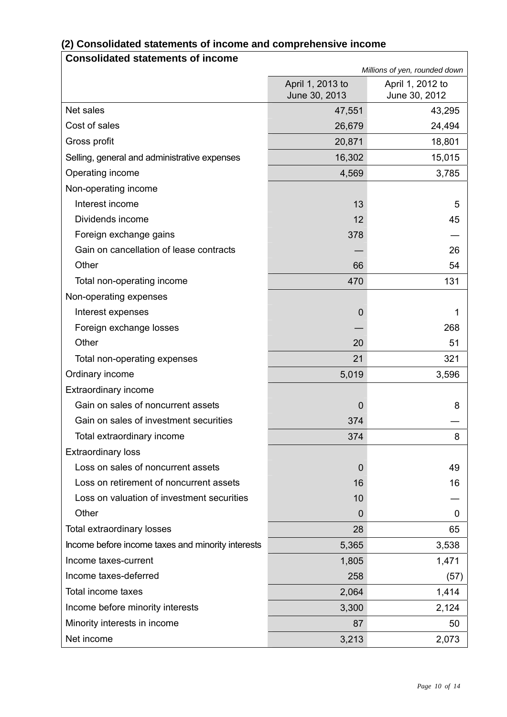| <b>Consolidated statements of income</b>          |                                   |                                   |
|---------------------------------------------------|-----------------------------------|-----------------------------------|
|                                                   |                                   | Millions of yen, rounded down     |
|                                                   | April 1, 2013 to<br>June 30, 2013 | April 1, 2012 to<br>June 30, 2012 |
| Net sales                                         | 47,551                            | 43,295                            |
| Cost of sales                                     | 26,679                            | 24,494                            |
| Gross profit                                      | 20,871                            | 18,801                            |
| Selling, general and administrative expenses      | 16,302                            | 15,015                            |
| Operating income                                  | 4,569                             | 3,785                             |
| Non-operating income                              |                                   |                                   |
| Interest income                                   | 13                                | 5                                 |
| Dividends income                                  | 12                                | 45                                |
| Foreign exchange gains                            | 378                               |                                   |
| Gain on cancellation of lease contracts           |                                   | 26                                |
| Other                                             | 66                                | 54                                |
| Total non-operating income                        | 470                               | 131                               |
| Non-operating expenses                            |                                   |                                   |
| Interest expenses                                 | 0                                 | 1                                 |
| Foreign exchange losses                           |                                   | 268                               |
| Other                                             | 20                                | 51                                |
| Total non-operating expenses                      | 21                                | 321                               |
| Ordinary income                                   | 5,019                             | 3,596                             |
| <b>Extraordinary income</b>                       |                                   |                                   |
| Gain on sales of noncurrent assets                | 0                                 | 8                                 |
| Gain on sales of investment securities            | 374                               |                                   |
| Total extraordinary income                        | 374                               | 8                                 |
| <b>Extraordinary loss</b>                         |                                   |                                   |
| Loss on sales of noncurrent assets                | 0                                 | 49                                |
| Loss on retirement of noncurrent assets           | 16                                | 16                                |
| Loss on valuation of investment securities        | 10                                |                                   |
| Other                                             | 0                                 | 0                                 |
| Total extraordinary losses                        | 28                                | 65                                |
| Income before income taxes and minority interests | 5,365                             | 3,538                             |
| Income taxes-current                              | 1,805                             | 1,471                             |
| Income taxes-deferred                             | 258                               | (57)                              |
| <b>Total income taxes</b>                         | 2,064                             | 1,414                             |
| Income before minority interests                  | 3,300                             | 2,124                             |
| Minority interests in income                      | 87                                | 50                                |
| Net income                                        | 3,213                             | 2,073                             |

## **(2) Consolidated statements of income and comprehensive income**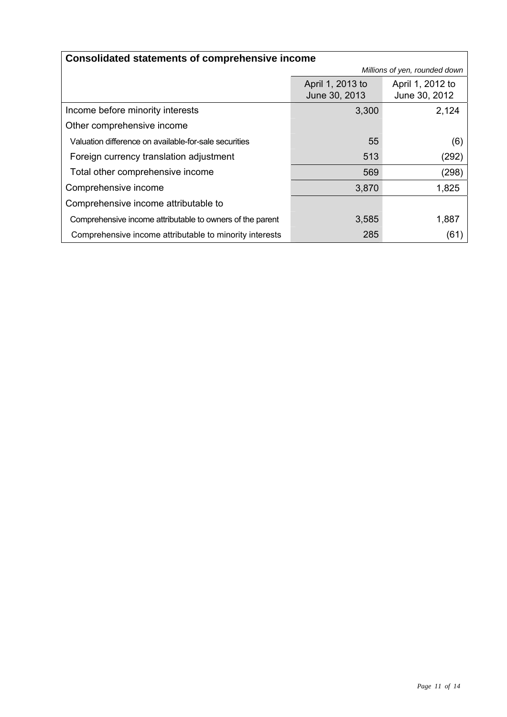| <b>Consolidated statements of comprehensive income</b>    |                               |                  |  |
|-----------------------------------------------------------|-------------------------------|------------------|--|
|                                                           | Millions of yen, rounded down |                  |  |
|                                                           | April 1, 2013 to              | April 1, 2012 to |  |
|                                                           | June 30, 2013                 | June 30, 2012    |  |
| Income before minority interests                          | 3,300                         | 2,124            |  |
| Other comprehensive income                                |                               |                  |  |
| Valuation difference on available-for-sale securities     | 55                            | (6)              |  |
| Foreign currency translation adjustment                   | 513                           | (292)            |  |
| Total other comprehensive income                          | 569                           | (298)            |  |
| Comprehensive income                                      | 3,870                         | 1,825            |  |
| Comprehensive income attributable to                      |                               |                  |  |
| Comprehensive income attributable to owners of the parent | 3,585                         | 1,887            |  |
| Comprehensive income attributable to minority interests   | 285                           | (61)             |  |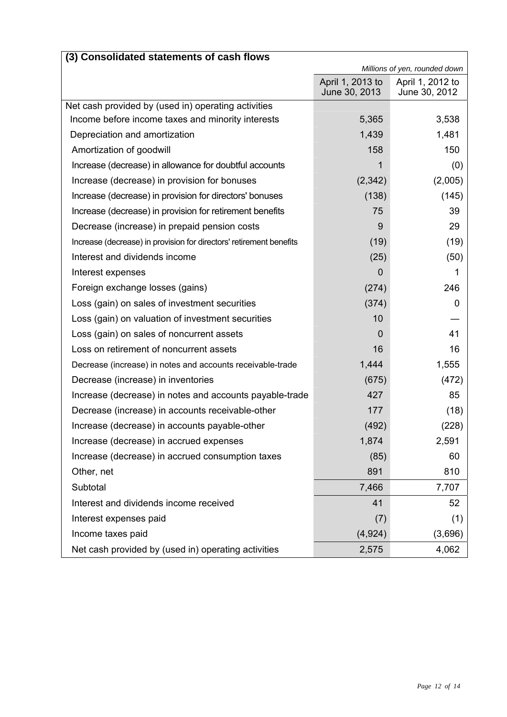| (3) Consolidated statements of cash flows                           |                                   |                                   |
|---------------------------------------------------------------------|-----------------------------------|-----------------------------------|
|                                                                     |                                   | Millions of yen, rounded down     |
|                                                                     | April 1, 2013 to<br>June 30, 2013 | April 1, 2012 to<br>June 30, 2012 |
| Net cash provided by (used in) operating activities                 |                                   |                                   |
| Income before income taxes and minority interests                   | 5,365                             | 3,538                             |
| Depreciation and amortization                                       | 1,439                             | 1,481                             |
| Amortization of goodwill                                            | 158                               | 150                               |
| Increase (decrease) in allowance for doubtful accounts              | 1                                 | (0)                               |
| Increase (decrease) in provision for bonuses                        | (2,342)                           | (2,005)                           |
| Increase (decrease) in provision for directors' bonuses             | (138)                             | (145)                             |
| Increase (decrease) in provision for retirement benefits            | 75                                | 39                                |
| Decrease (increase) in prepaid pension costs                        | 9                                 | 29                                |
| Increase (decrease) in provision for directors' retirement benefits | (19)                              | (19)                              |
| Interest and dividends income                                       | (25)                              | (50)                              |
| Interest expenses                                                   | 0                                 | 1                                 |
| Foreign exchange losses (gains)                                     | (274)                             | 246                               |
| Loss (gain) on sales of investment securities                       | (374)                             | 0                                 |
| Loss (gain) on valuation of investment securities                   | 10                                |                                   |
| Loss (gain) on sales of noncurrent assets                           | 0                                 | 41                                |
| Loss on retirement of noncurrent assets                             | 16                                | 16                                |
| Decrease (increase) in notes and accounts receivable-trade          | 1,444                             | 1,555                             |
| Decrease (increase) in inventories                                  | (675)                             | (472)                             |
| Increase (decrease) in notes and accounts payable-trade             | 427                               | 85                                |
| Decrease (increase) in accounts receivable-other                    | 177                               | (18)                              |
| Increase (decrease) in accounts payable-other                       | (492)                             | (228)                             |
| Increase (decrease) in accrued expenses                             | 1,874                             | 2,591                             |
| Increase (decrease) in accrued consumption taxes                    | (85)                              | 60                                |
| Other, net                                                          | 891                               | 810                               |
| Subtotal                                                            | 7,466                             | 7,707                             |
| Interest and dividends income received                              | 41                                | 52                                |
| Interest expenses paid                                              | (7)                               | (1)                               |
| Income taxes paid                                                   | (4, 924)                          | (3,696)                           |
| Net cash provided by (used in) operating activities                 | 2,575                             | 4,062                             |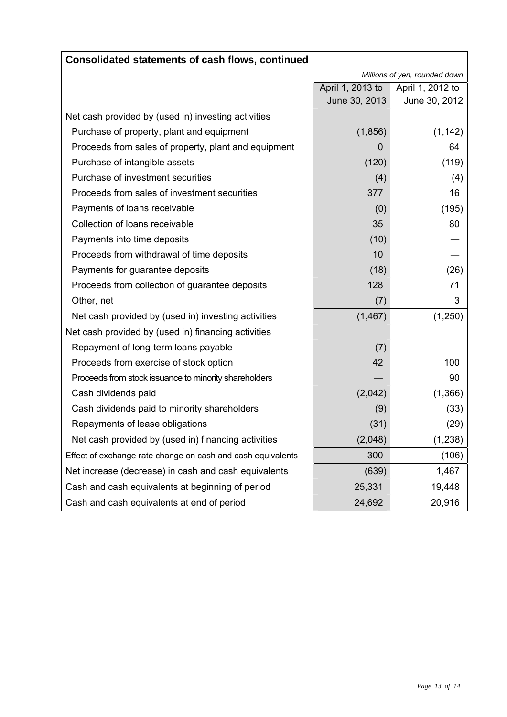| Consolidated statements of cash flows, continued            |                  |                               |
|-------------------------------------------------------------|------------------|-------------------------------|
|                                                             |                  | Millions of yen, rounded down |
|                                                             | April 1, 2013 to | April 1, 2012 to              |
|                                                             | June 30, 2013    | June 30, 2012                 |
| Net cash provided by (used in) investing activities         |                  |                               |
| Purchase of property, plant and equipment                   | (1,856)          | (1, 142)                      |
| Proceeds from sales of property, plant and equipment        | 0                | 64                            |
| Purchase of intangible assets                               | (120)            | (119)                         |
| Purchase of investment securities                           | (4)              | (4)                           |
| Proceeds from sales of investment securities                | 377              | 16                            |
| Payments of loans receivable                                | (0)              | (195)                         |
| Collection of loans receivable                              | 35               | 80                            |
| Payments into time deposits                                 | (10)             |                               |
| Proceeds from withdrawal of time deposits                   | 10               |                               |
| Payments for guarantee deposits                             | (18)             | (26)                          |
| Proceeds from collection of guarantee deposits              | 128              | 71                            |
| Other, net                                                  | (7)              | 3                             |
| Net cash provided by (used in) investing activities         | (1, 467)         | (1,250)                       |
| Net cash provided by (used in) financing activities         |                  |                               |
| Repayment of long-term loans payable                        | (7)              |                               |
| Proceeds from exercise of stock option                      | 42               | 100                           |
| Proceeds from stock issuance to minority shareholders       |                  | 90                            |
| Cash dividends paid                                         | (2,042)          | (1,366)                       |
| Cash dividends paid to minority shareholders                | (9)              | (33)                          |
| Repayments of lease obligations                             | (31)             | (29)                          |
| Net cash provided by (used in) financing activities         | (2,048)          | (1,238)                       |
| Effect of exchange rate change on cash and cash equivalents | 300              | (106)                         |
| Net increase (decrease) in cash and cash equivalents        | (639)            | 1,467                         |
| Cash and cash equivalents at beginning of period            | 25,331           | 19,448                        |
| Cash and cash equivalents at end of period                  | 24,692           | 20,916                        |

## **Consolidated statements of cash flows, continued**

٦